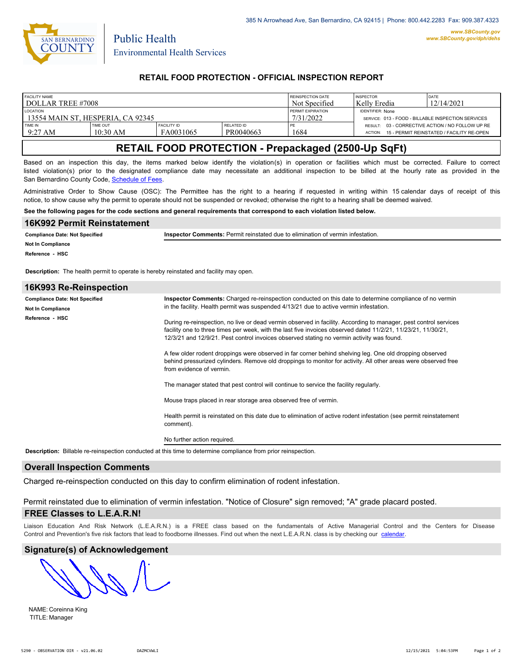

Public Health

## **RETAIL FOOD PROTECTION - OFFICIAL INSPECTION REPORT**

| <b>FACILITY NAME</b>              |                 |                    |                   | REINSPECTION DATE                                  | <b>INSPECTOR</b> | <b>DATE</b>                                      |
|-----------------------------------|-----------------|--------------------|-------------------|----------------------------------------------------|------------------|--------------------------------------------------|
| DOLLAR TREE #7008                 |                 |                    |                   | Not Specified                                      | Kelly Eredia     | 12/14/2021                                       |
| <b>LOCATION</b>                   |                 |                    | PERMIT EXPIRATION | <b>IDENTIFIER: None</b>                            |                  |                                                  |
| 13554 MAIN ST. HESPERIA. CA 92345 |                 |                    | 7/31/2022         | SERVICE: 013 - FOOD - BILLABLE INSPECTION SERVICES |                  |                                                  |
| TIME IN                           | <b>TIME OUT</b> | <b>FACILITY ID</b> | <b>RELATED ID</b> | PE                                                 | ACTION:          | RESULT: 03 - CORRECTIVE ACTION / NO FOLLOW UP RE |
| $9:27 \text{ AM}$                 | $10:30$ AM      | FA0031065          | PR0040663         | 1684                                               |                  | 15 - PERMIT REINSTATED / FACILITY RE-OPEN        |

# **RETAIL FOOD PROTECTION - Prepackaged (2500-Up SqFt)**

Based on an inspection this day, the items marked below identify the violation(s) in operation or facilities which must be corrected. Failure to correct listed violation(s) prior to the designated compliance date may necessitate an additional inspection to be billed at the hourly rate as provided in the San Bernardino County Code, Schedule of Fees

Administrative Order to Show Cause (OSC): The Permittee has the right to a hearing if requested in writing within 15 calendar days of receipt of this notice, to show cause why the permit to operate should not be suspended or revoked; otherwise the right to a hearing shall be deemed waived.

**See the following pages for the code sections and general requirements that correspond to each violation listed below.**

| 16K992 Permit Reinstatement                                                                  |                                                                                                                                                                                                            |  |  |  |  |  |
|----------------------------------------------------------------------------------------------|------------------------------------------------------------------------------------------------------------------------------------------------------------------------------------------------------------|--|--|--|--|--|
| <b>Compliance Date: Not Specified</b>                                                        | Inspector Comments: Permit reinstated due to elimination of vermin infestation.                                                                                                                            |  |  |  |  |  |
| <b>Not In Compliance</b>                                                                     |                                                                                                                                                                                                            |  |  |  |  |  |
| Reference - HSC                                                                              |                                                                                                                                                                                                            |  |  |  |  |  |
| <b>Description:</b> The health permit to operate is hereby reinstated and facility may open. |                                                                                                                                                                                                            |  |  |  |  |  |
| 16K993 Re-Reinspection                                                                       |                                                                                                                                                                                                            |  |  |  |  |  |
| <b>Compliance Date: Not Specified</b>                                                        | Inspector Comments: Charged re-reinspection conducted on this date to determine compliance of no vermin                                                                                                    |  |  |  |  |  |
| Not In Compliance                                                                            | in the facility. Health permit was suspended 4/13/21 due to active vermin infestation.                                                                                                                     |  |  |  |  |  |
| Reference - HSC                                                                              | During re-reinspection, no live or dead vermin observed in facility. According to manager, pest control services                                                                                           |  |  |  |  |  |
|                                                                                              | facility one to three times per week, with the last five invoices observed dated 11/2/21, 11/23/21, 11/30/21,<br>12/3/21 and 12/9/21. Pest control invoices observed stating no vermin activity was found. |  |  |  |  |  |
|                                                                                              | A few older rodent droppings were observed in far corner behind shelving leg. One old dropping observed                                                                                                    |  |  |  |  |  |
|                                                                                              | behind pressurized cylinders. Remove old droppings to monitor for activity. All other areas were observed free<br>from evidence of vermin.                                                                 |  |  |  |  |  |
|                                                                                              | The manager stated that pest control will continue to service the facility regularly.                                                                                                                      |  |  |  |  |  |
|                                                                                              | Mouse traps placed in rear storage area observed free of vermin.                                                                                                                                           |  |  |  |  |  |
|                                                                                              | Health permit is reinstated on this date due to elimination of active rodent infestation (see permit reinstatement<br>comment).                                                                            |  |  |  |  |  |

No further action required.

**Description:** Billable re-reinspection conducted at this time to determine compliance from prior reinspection.

#### **Overall Inspection Comments**

Charged re-reinspection conducted on this day to confirm elimination of rodent infestation.

Permit reinstated due to elimination of vermin infestation. "Notice of Closure" sign removed; "A" grade placard posted.

### **FREE Classes to L.E.A.R.N!**

Liaison Education And Risk Network (L.E.A.R.N.) is a FREE class based on the fundamentals of Active Managerial Control and [the Centers](http://wp.sbcounty.gov/dph/events/) for Disease Control and Prevention's five risk factors that lead to foodborne illnesses. Find out when the next L.E.A.R.N. class is by checking our calendar.

#### **Signature(s) of Acknowledgement**

NAME: Coreinna King TITLE: Manager